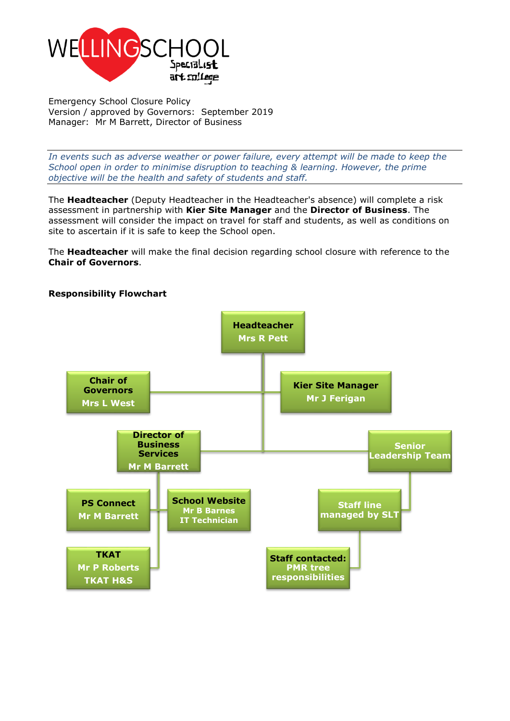

Emergency School Closure Policy Version / approved by Governors: September 2019 Manager: Mr M Barrett, Director of Business

*In events such as adverse weather or power failure, every attempt will be made to keep the School open in order to minimise disruption to teaching & learning. However, the prime objective will be the health and safety of students and staff.*

The **Headteacher** (Deputy Headteacher in the Headteacher's absence) will complete a risk assessment in partnership with **Kier Site Manager** and the **Director of Business**. The assessment will consider the impact on travel for staff and students, as well as conditions on site to ascertain if it is safe to keep the School open.

The **Headteacher** will make the final decision regarding school closure with reference to the **Chair of Governors**.



## **Responsibility Flowchart**